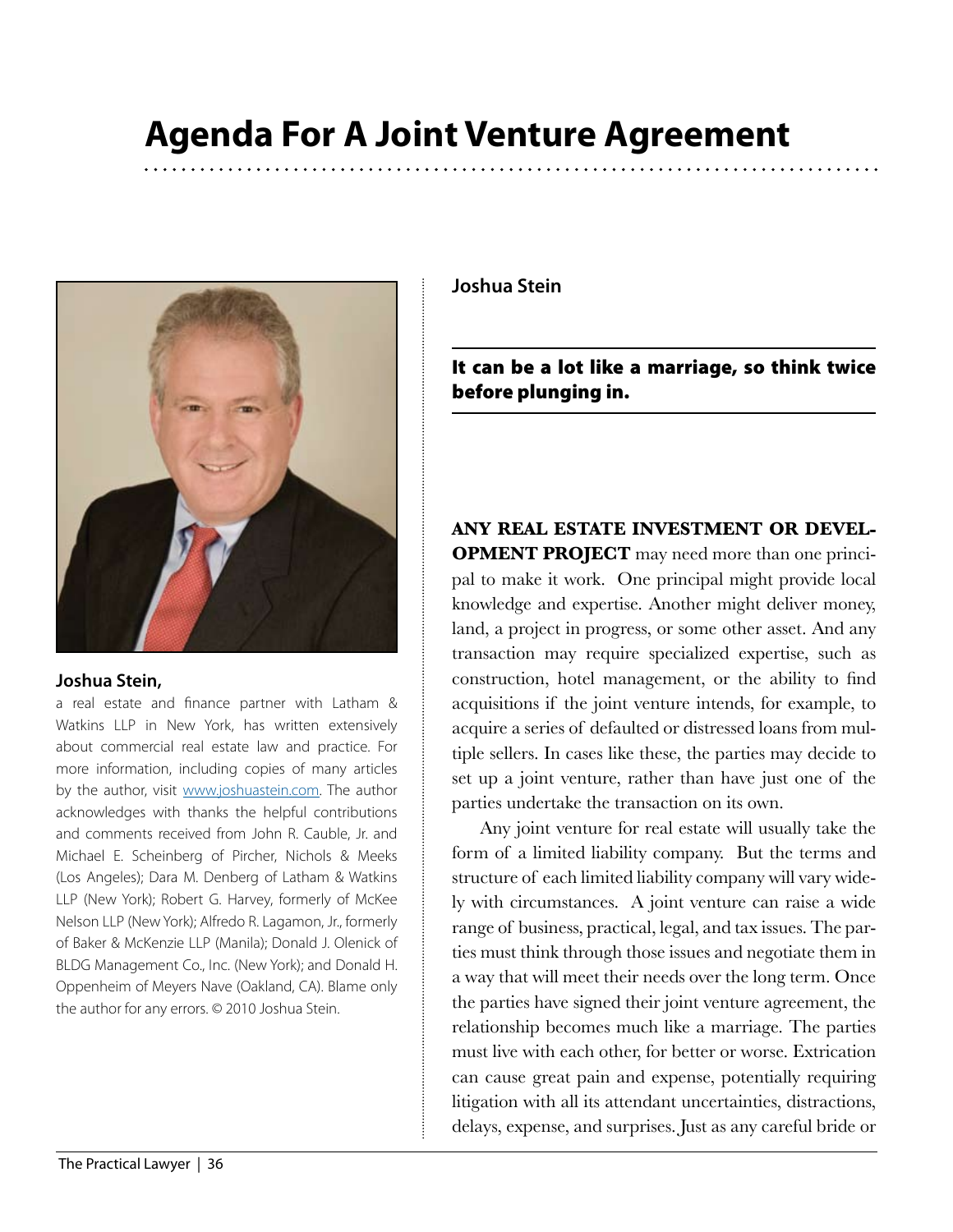

# **Joshua Stein,**

a real estate and finance partner with Latham & Watkins LLP in New York, has written extensively about commercial real estate law and practice. For more information, including copies of many articles by the author, visit [www.joshuastein.com](http://www.joshuastein.com). The author acknowledges with thanks the helpful contributions and comments received from John R. Cauble, Jr. and Michael E. Scheinberg of Pircher, Nichols & Meeks (Los Angeles); Dara M. Denberg of Latham & Watkins LLP (New York); Robert G. Harvey, formerly of McKee Nelson LLP (New York); Alfredo R. Lagamon, Jr., formerly of Baker & McKenzie LLP (Manila); Donald J. Olenick of BLDG Management Co., Inc. (New York); and Donald H. Oppenheim of Meyers Nave (Oakland, CA). Blame only the author for any errors. © 2010 Joshua Stein.

**Joshua Stein**

It can be a lot like a marriage, so think twice before plunging in.

**ANY REAL ESTATE INVESTMENT OR DEVEL-OPMENT PROJECT** may need more than one principal to make it work. One principal might provide local knowledge and expertise. Another might deliver money, land, a project in progress, or some other asset. And any transaction may require specialized expertise, such as construction, hotel management, or the ability to find acquisitions if the joint venture intends, for example, to acquire a series of defaulted or distressed loans from multiple sellers. In cases like these, the parties may decide to set up a joint venture, rather than have just one of the parties undertake the transaction on its own.

Any joint venture for real estate will usually take the form of a limited liability company. But the terms and structure of each limited liability company will vary widely with circumstances. A joint venture can raise a wide range of business, practical, legal, and tax issues. The parties must think through those issues and negotiate them in a way that will meet their needs over the long term. Once the parties have signed their joint venture agreement, the relationship becomes much like a marriage. The parties must live with each other, for better or worse. Extrication can cause great pain and expense, potentially requiring litigation with all its attendant uncertainties, distractions, delays, expense, and surprises. Just as any careful bride or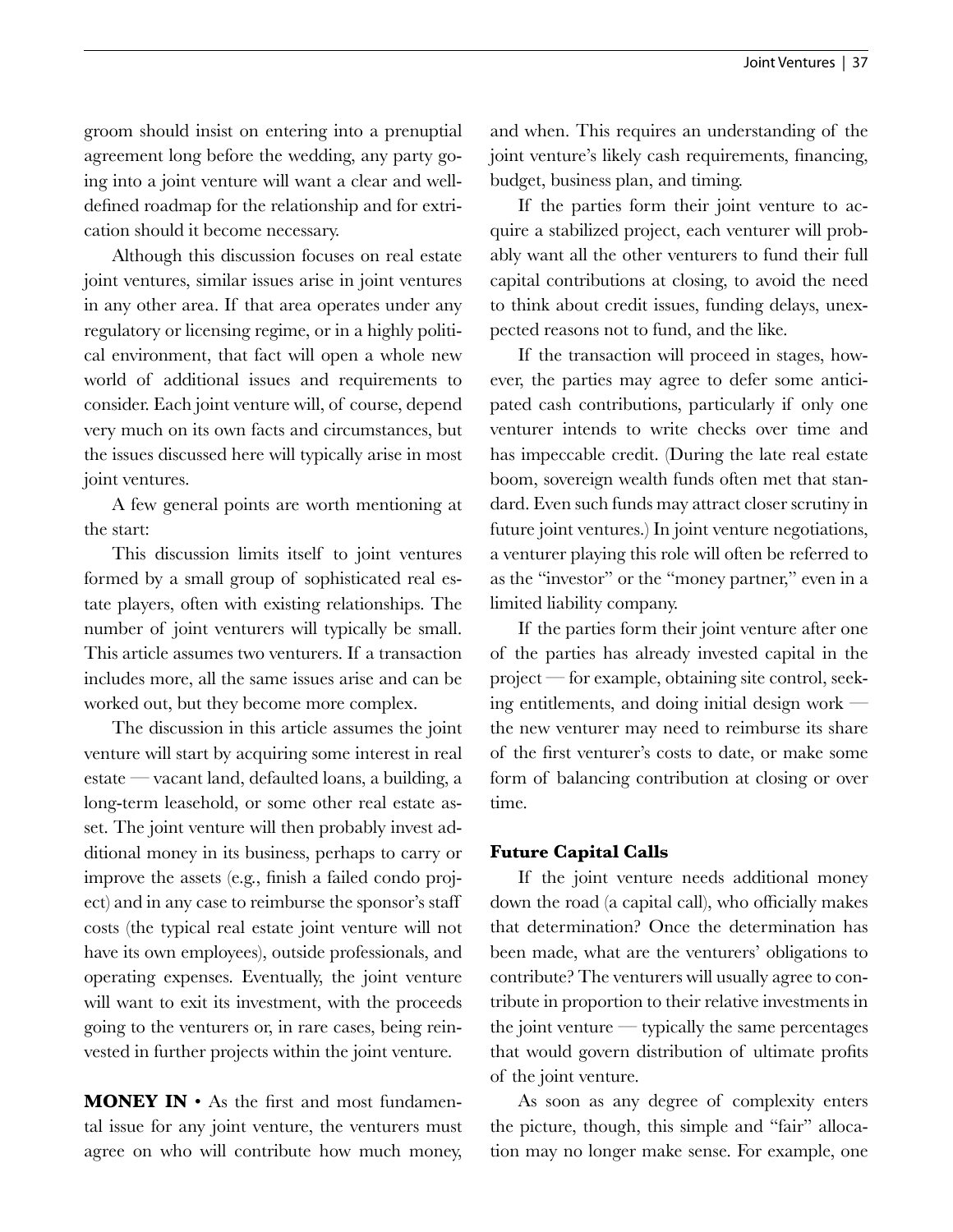groom should insist on entering into a prenuptial agreement long before the wedding, any party going into a joint venture will want a clear and welldefined roadmap for the relationship and for extrication should it become necessary.

Although this discussion focuses on real estate joint ventures, similar issues arise in joint ventures in any other area. If that area operates under any regulatory or licensing regime, or in a highly political environment, that fact will open a whole new world of additional issues and requirements to consider. Each joint venture will, of course, depend very much on its own facts and circumstances, but the issues discussed here will typically arise in most joint ventures.

A few general points are worth mentioning at the start:

This discussion limits itself to joint ventures formed by a small group of sophisticated real estate players, often with existing relationships. The number of joint venturers will typically be small. This article assumes two venturers. If a transaction includes more, all the same issues arise and can be worked out, but they become more complex.

The discussion in this article assumes the joint venture will start by acquiring some interest in real estate — vacant land, defaulted loans, a building, a long-term leasehold, or some other real estate asset. The joint venture will then probably invest additional money in its business, perhaps to carry or improve the assets (e.g., finish a failed condo project) and in any case to reimburse the sponsor's staff costs (the typical real estate joint venture will not have its own employees), outside professionals, and operating expenses. Eventually, the joint venture will want to exit its investment, with the proceeds going to the venturers or, in rare cases, being reinvested in further projects within the joint venture.

**MONEY IN** • As the first and most fundamental issue for any joint venture, the venturers must agree on who will contribute how much money, and when. This requires an understanding of the joint venture's likely cash requirements, financing, budget, business plan, and timing.

If the parties form their joint venture to acquire a stabilized project, each venturer will probably want all the other venturers to fund their full capital contributions at closing, to avoid the need to think about credit issues, funding delays, unexpected reasons not to fund, and the like.

If the transaction will proceed in stages, however, the parties may agree to defer some anticipated cash contributions, particularly if only one venturer intends to write checks over time and has impeccable credit. (During the late real estate boom, sovereign wealth funds often met that standard. Even such funds may attract closer scrutiny in future joint ventures.) In joint venture negotiations, a venturer playing this role will often be referred to as the "investor" or the "money partner," even in a limited liability company.

If the parties form their joint venture after one of the parties has already invested capital in the project — for example, obtaining site control, seeking entitlements, and doing initial design work the new venturer may need to reimburse its share of the first venturer's costs to date, or make some form of balancing contribution at closing or over time.

## **Future Capital Calls**

If the joint venture needs additional money down the road (a capital call), who officially makes that determination? Once the determination has been made, what are the venturers' obligations to contribute? The venturers will usually agree to contribute in proportion to their relative investments in the joint venture — typically the same percentages that would govern distribution of ultimate profits of the joint venture.

As soon as any degree of complexity enters the picture, though, this simple and "fair" allocation may no longer make sense. For example, one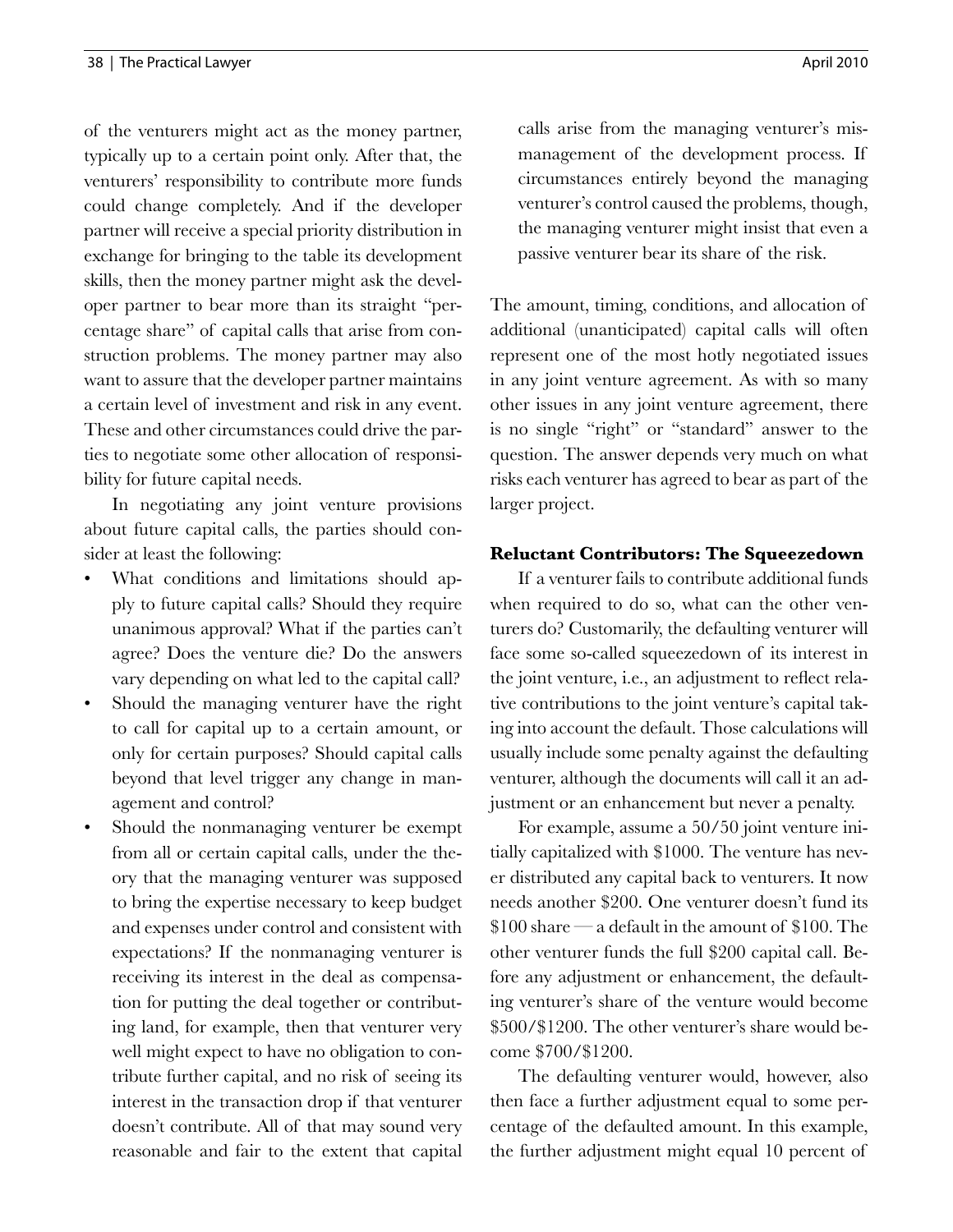of the venturers might act as the money partner, typically up to a certain point only. After that, the venturers' responsibility to contribute more funds could change completely. And if the developer partner will receive a special priority distribution in exchange for bringing to the table its development skills, then the money partner might ask the developer partner to bear more than its straight "percentage share" of capital calls that arise from construction problems. The money partner may also want to assure that the developer partner maintains a certain level of investment and risk in any event. These and other circumstances could drive the parties to negotiate some other allocation of responsibility for future capital needs.

In negotiating any joint venture provisions about future capital calls, the parties should consider at least the following:

- What conditions and limitations should apply to future capital calls? Should they require unanimous approval? What if the parties can't agree? Does the venture die? Do the answers vary depending on what led to the capital call?
- Should the managing venturer have the right to call for capital up to a certain amount, or only for certain purposes? Should capital calls beyond that level trigger any change in management and control?
- Should the nonmanaging venturer be exempt from all or certain capital calls, under the theory that the managing venturer was supposed to bring the expertise necessary to keep budget and expenses under control and consistent with expectations? If the nonmanaging venturer is receiving its interest in the deal as compensation for putting the deal together or contributing land, for example, then that venturer very well might expect to have no obligation to contribute further capital, and no risk of seeing its interest in the transaction drop if that venturer doesn't contribute. All of that may sound very reasonable and fair to the extent that capital

calls arise from the managing venturer's mismanagement of the development process. If circumstances entirely beyond the managing venturer's control caused the problems, though, the managing venturer might insist that even a passive venturer bear its share of the risk.

The amount, timing, conditions, and allocation of additional (unanticipated) capital calls will often represent one of the most hotly negotiated issues in any joint venture agreement. As with so many other issues in any joint venture agreement, there is no single "right" or "standard" answer to the question. The answer depends very much on what risks each venturer has agreed to bear as part of the larger project.

## **Reluctant Contributors: The Squeezedown**

If a venturer fails to contribute additional funds when required to do so, what can the other venturers do? Customarily, the defaulting venturer will face some so-called squeezedown of its interest in the joint venture, i.e., an adjustment to reflect relative contributions to the joint venture's capital taking into account the default. Those calculations will usually include some penalty against the defaulting venturer, although the documents will call it an adjustment or an enhancement but never a penalty.

For example, assume a 50/50 joint venture initially capitalized with \$1000. The venture has never distributed any capital back to venturers. It now needs another \$200. One venturer doesn't fund its \$100 share — a default in the amount of \$100. The other venturer funds the full \$200 capital call. Before any adjustment or enhancement, the defaulting venturer's share of the venture would become \$500/\$1200. The other venturer's share would become \$700/\$1200.

The defaulting venturer would, however, also then face a further adjustment equal to some percentage of the defaulted amount. In this example, the further adjustment might equal 10 percent of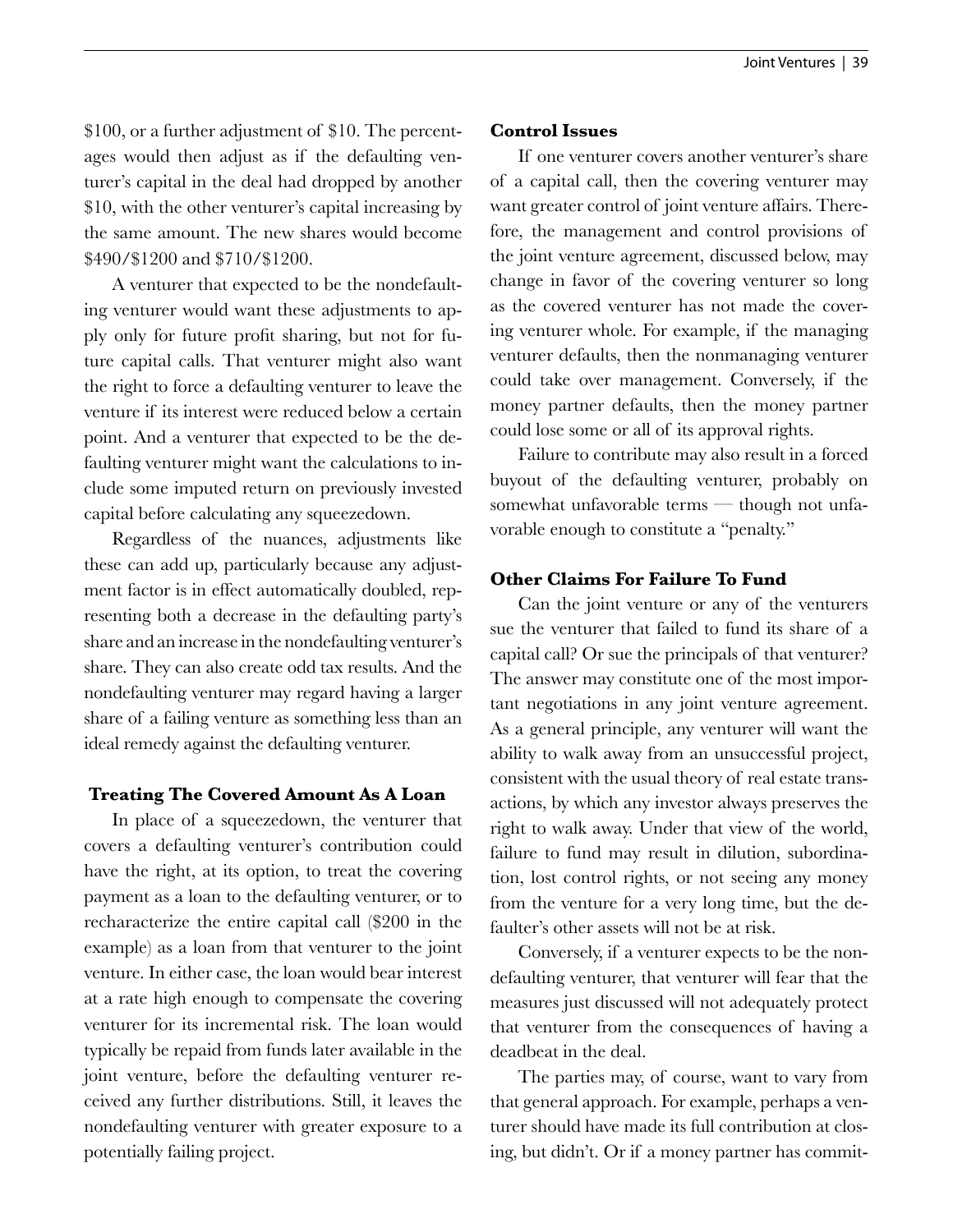\$100, or a further adjustment of \$10. The percentages would then adjust as if the defaulting venturer's capital in the deal had dropped by another \$10, with the other venturer's capital increasing by the same amount. The new shares would become \$490/\$1200 and \$710/\$1200.

A venturer that expected to be the nondefaulting venturer would want these adjustments to apply only for future profit sharing, but not for future capital calls. That venturer might also want the right to force a defaulting venturer to leave the venture if its interest were reduced below a certain point. And a venturer that expected to be the defaulting venturer might want the calculations to include some imputed return on previously invested capital before calculating any squeezedown.

Regardless of the nuances, adjustments like these can add up, particularly because any adjustment factor is in effect automatically doubled, representing both a decrease in the defaulting party's share and an increase in the nondefaulting venturer's share. They can also create odd tax results. And the nondefaulting venturer may regard having a larger share of a failing venture as something less than an ideal remedy against the defaulting venturer.

## **Treating The Covered Amount As A Loan**

In place of a squeezedown, the venturer that covers a defaulting venturer's contribution could have the right, at its option, to treat the covering payment as a loan to the defaulting venturer, or to recharacterize the entire capital call (\$200 in the example) as a loan from that venturer to the joint venture. In either case, the loan would bear interest at a rate high enough to compensate the covering venturer for its incremental risk. The loan would typically be repaid from funds later available in the joint venture, before the defaulting venturer received any further distributions. Still, it leaves the nondefaulting venturer with greater exposure to a potentially failing project.

#### **Control Issues**

If one venturer covers another venturer's share of a capital call, then the covering venturer may want greater control of joint venture affairs. Therefore, the management and control provisions of the joint venture agreement, discussed below, may change in favor of the covering venturer so long as the covered venturer has not made the covering venturer whole. For example, if the managing venturer defaults, then the nonmanaging venturer could take over management. Conversely, if the money partner defaults, then the money partner could lose some or all of its approval rights.

Failure to contribute may also result in a forced buyout of the defaulting venturer, probably on somewhat unfavorable terms — though not unfavorable enough to constitute a "penalty."

## **Other Claims For Failure To Fund**

Can the joint venture or any of the venturers sue the venturer that failed to fund its share of a capital call? Or sue the principals of that venturer? The answer may constitute one of the most important negotiations in any joint venture agreement. As a general principle, any venturer will want the ability to walk away from an unsuccessful project, consistent with the usual theory of real estate transactions, by which any investor always preserves the right to walk away. Under that view of the world, failure to fund may result in dilution, subordination, lost control rights, or not seeing any money from the venture for a very long time, but the defaulter's other assets will not be at risk.

Conversely, if a venturer expects to be the nondefaulting venturer, that venturer will fear that the measures just discussed will not adequately protect that venturer from the consequences of having a deadbeat in the deal.

The parties may, of course, want to vary from that general approach. For example, perhaps a venturer should have made its full contribution at closing, but didn't. Or if a money partner has commit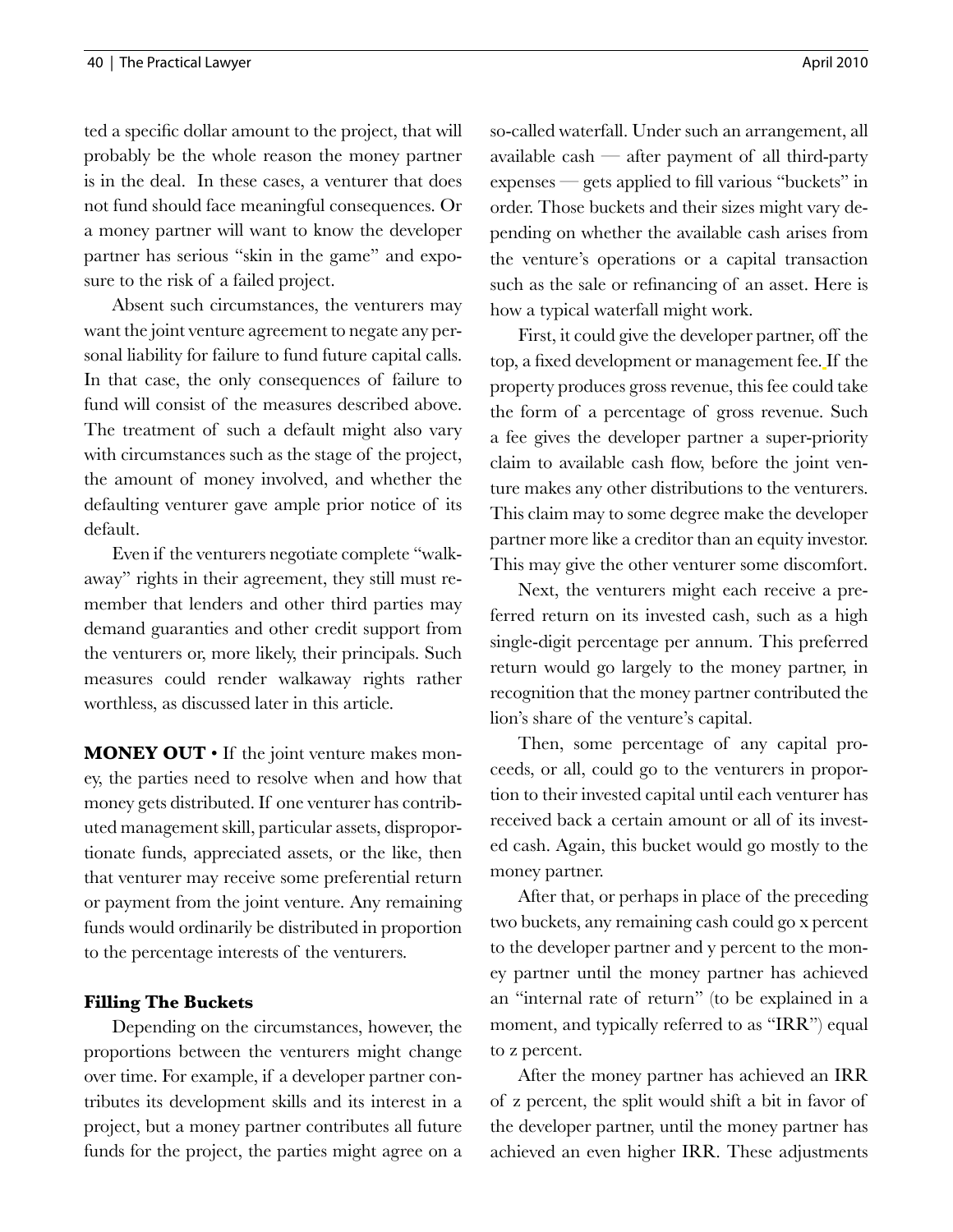ted a specific dollar amount to the project, that will probably be the whole reason the money partner is in the deal. In these cases, a venturer that does not fund should face meaningful consequences. Or a money partner will want to know the developer partner has serious "skin in the game" and exposure to the risk of a failed project.

Absent such circumstances, the venturers may want the joint venture agreement to negate any personal liability for failure to fund future capital calls. In that case, the only consequences of failure to fund will consist of the measures described above. The treatment of such a default might also vary with circumstances such as the stage of the project, the amount of money involved, and whether the defaulting venturer gave ample prior notice of its default.

Even if the venturers negotiate complete "walkaway" rights in their agreement, they still must remember that lenders and other third parties may demand guaranties and other credit support from the venturers or, more likely, their principals. Such measures could render walkaway rights rather worthless, as discussed later in this article.

**MONEY OUT** • If the joint venture makes money, the parties need to resolve when and how that money gets distributed. If one venturer has contributed management skill, particular assets, disproportionate funds, appreciated assets, or the like, then that venturer may receive some preferential return or payment from the joint venture. Any remaining funds would ordinarily be distributed in proportion to the percentage interests of the venturers.

## **Filling The Buckets**

Depending on the circumstances, however, the proportions between the venturers might change over time. For example, if a developer partner contributes its development skills and its interest in a project, but a money partner contributes all future funds for the project, the parties might agree on a so-called waterfall. Under such an arrangement, all available cash  $-$  after payment of all third-party expenses — gets applied to fill various "buckets" in order. Those buckets and their sizes might vary depending on whether the available cash arises from the venture's operations or a capital transaction such as the sale or refinancing of an asset. Here is how a typical waterfall might work.

First, it could give the developer partner, off the top, a fixed development or management fee. If the property produces gross revenue, this fee could take the form of a percentage of gross revenue. Such a fee gives the developer partner a super-priority claim to available cash flow, before the joint venture makes any other distributions to the venturers. This claim may to some degree make the developer partner more like a creditor than an equity investor. This may give the other venturer some discomfort.

Next, the venturers might each receive a preferred return on its invested cash, such as a high single-digit percentage per annum. This preferred return would go largely to the money partner, in recognition that the money partner contributed the lion's share of the venture's capital.

Then, some percentage of any capital proceeds, or all, could go to the venturers in proportion to their invested capital until each venturer has received back a certain amount or all of its invested cash. Again, this bucket would go mostly to the money partner.

After that, or perhaps in place of the preceding two buckets, any remaining cash could go x percent to the developer partner and y percent to the money partner until the money partner has achieved an "internal rate of return" (to be explained in a moment, and typically referred to as "IRR") equal to z percent.

After the money partner has achieved an IRR of z percent, the split would shift a bit in favor of the developer partner, until the money partner has achieved an even higher IRR. These adjustments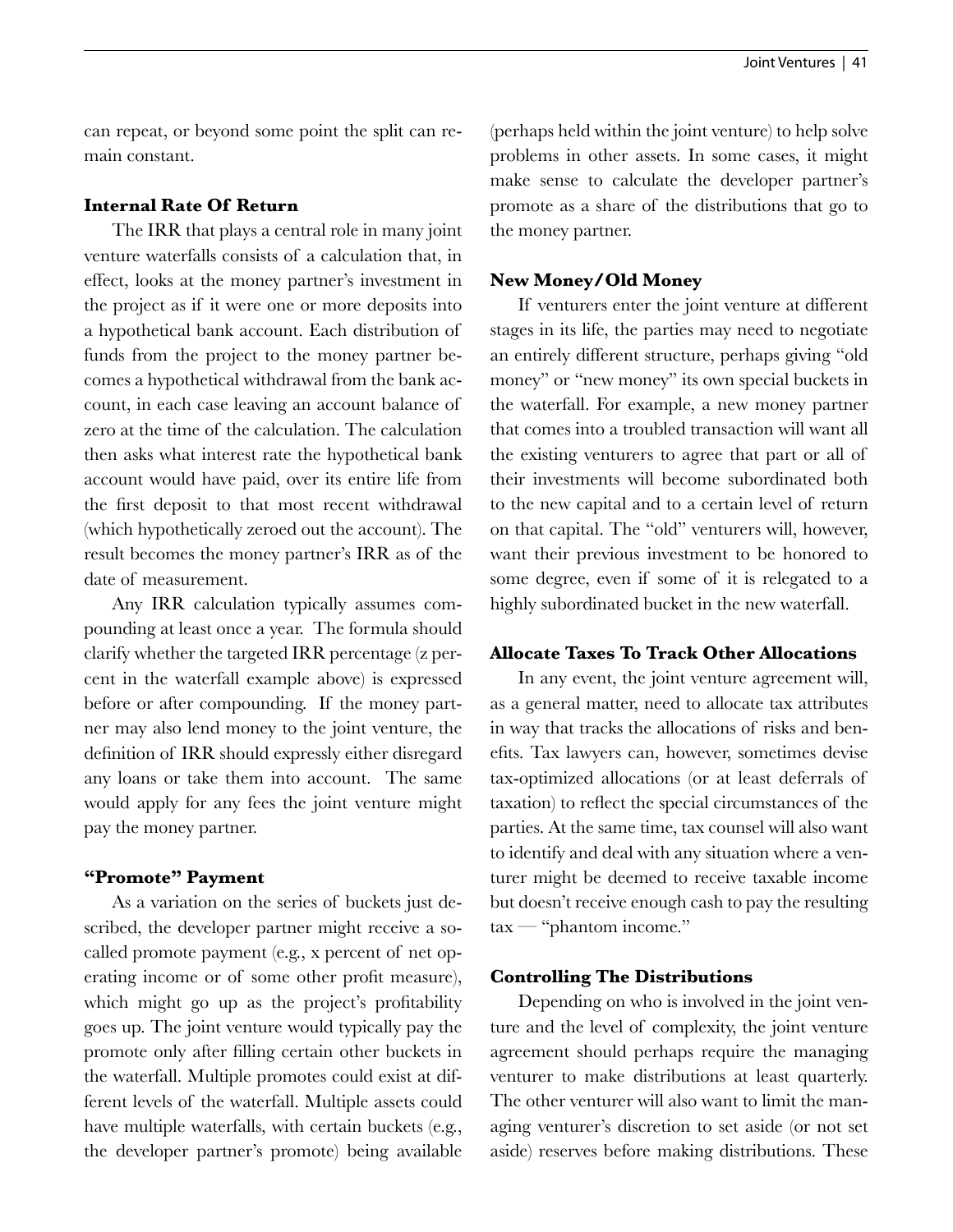can repeat, or beyond some point the split can remain constant.

## **Internal Rate Of Return**

The IRR that plays a central role in many joint venture waterfalls consists of a calculation that, in effect, looks at the money partner's investment in the project as if it were one or more deposits into a hypothetical bank account. Each distribution of funds from the project to the money partner becomes a hypothetical withdrawal from the bank account, in each case leaving an account balance of zero at the time of the calculation. The calculation then asks what interest rate the hypothetical bank account would have paid, over its entire life from the first deposit to that most recent withdrawal (which hypothetically zeroed out the account). The result becomes the money partner's IRR as of the date of measurement.

Any IRR calculation typically assumes compounding at least once a year. The formula should clarify whether the targeted IRR percentage (z percent in the waterfall example above) is expressed before or after compounding. If the money partner may also lend money to the joint venture, the definition of IRR should expressly either disregard any loans or take them into account. The same would apply for any fees the joint venture might pay the money partner.

## **"Promote" Payment**

As a variation on the series of buckets just described, the developer partner might receive a socalled promote payment (e.g., x percent of net operating income or of some other profit measure), which might go up as the project's profitability goes up. The joint venture would typically pay the promote only after filling certain other buckets in the waterfall. Multiple promotes could exist at different levels of the waterfall. Multiple assets could have multiple waterfalls, with certain buckets (e.g., the developer partner's promote) being available (perhaps held within the joint venture) to help solve problems in other assets. In some cases, it might make sense to calculate the developer partner's promote as a share of the distributions that go to the money partner.

#### **New Money/Old Money**

If venturers enter the joint venture at different stages in its life, the parties may need to negotiate an entirely different structure, perhaps giving "old money" or "new money" its own special buckets in the waterfall. For example, a new money partner that comes into a troubled transaction will want all the existing venturers to agree that part or all of their investments will become subordinated both to the new capital and to a certain level of return on that capital. The "old" venturers will, however, want their previous investment to be honored to some degree, even if some of it is relegated to a highly subordinated bucket in the new waterfall.

## **Allocate Taxes To Track Other Allocations**

In any event, the joint venture agreement will, as a general matter, need to allocate tax attributes in way that tracks the allocations of risks and benefits. Tax lawyers can, however, sometimes devise tax-optimized allocations (or at least deferrals of taxation) to reflect the special circumstances of the parties. At the same time, tax counsel will also want to identify and deal with any situation where a venturer might be deemed to receive taxable income but doesn't receive enough cash to pay the resulting tax — "phantom income."

#### **Controlling The Distributions**

Depending on who is involved in the joint venture and the level of complexity, the joint venture agreement should perhaps require the managing venturer to make distributions at least quarterly. The other venturer will also want to limit the managing venturer's discretion to set aside (or not set aside) reserves before making distributions. These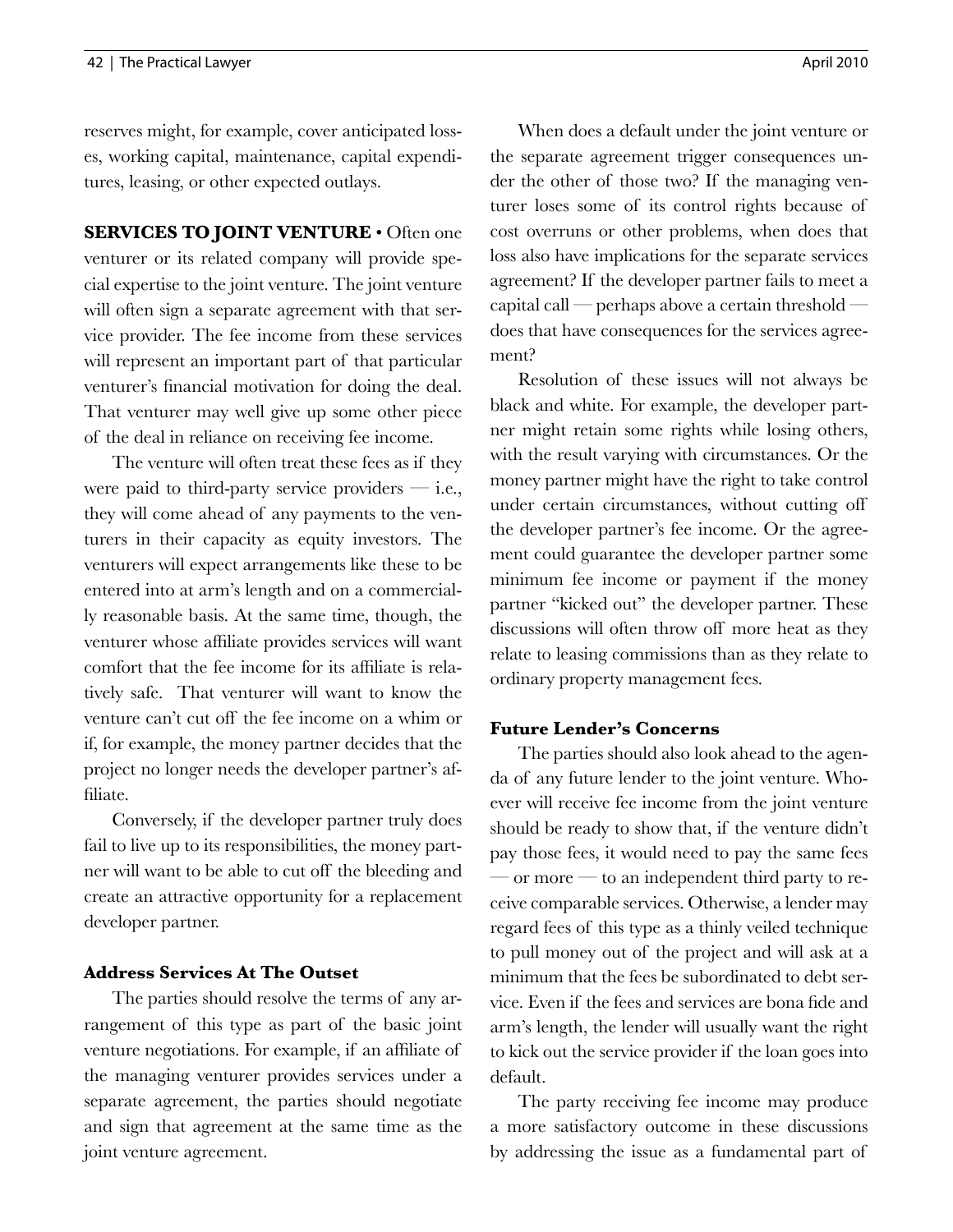reserves might, for example, cover anticipated losses, working capital, maintenance, capital expenditures, leasing, or other expected outlays.

**SERVICES TO JOINT VENTURE** • Often one venturer or its related company will provide special expertise to the joint venture. The joint venture will often sign a separate agreement with that service provider. The fee income from these services will represent an important part of that particular venturer's financial motivation for doing the deal. That venturer may well give up some other piece of the deal in reliance on receiving fee income.

The venture will often treat these fees as if they were paid to third-party service providers  $-$  i.e., they will come ahead of any payments to the venturers in their capacity as equity investors. The venturers will expect arrangements like these to be entered into at arm's length and on a commercially reasonable basis. At the same time, though, the venturer whose affiliate provides services will want comfort that the fee income for its affiliate is relatively safe. That venturer will want to know the venture can't cut off the fee income on a whim or if, for example, the money partner decides that the project no longer needs the developer partner's affiliate.

Conversely, if the developer partner truly does fail to live up to its responsibilities, the money partner will want to be able to cut off the bleeding and create an attractive opportunity for a replacement developer partner.

#### **Address Services At The Outset**

The parties should resolve the terms of any arrangement of this type as part of the basic joint venture negotiations. For example, if an affiliate of the managing venturer provides services under a separate agreement, the parties should negotiate and sign that agreement at the same time as the joint venture agreement.

When does a default under the joint venture or the separate agreement trigger consequences under the other of those two? If the managing venturer loses some of its control rights because of cost overruns or other problems, when does that loss also have implications for the separate services agreement? If the developer partner fails to meet a capital call — perhaps above a certain threshold does that have consequences for the services agreement?

Resolution of these issues will not always be black and white. For example, the developer partner might retain some rights while losing others, with the result varying with circumstances. Or the money partner might have the right to take control under certain circumstances, without cutting off the developer partner's fee income. Or the agreement could guarantee the developer partner some minimum fee income or payment if the money partner "kicked out" the developer partner. These discussions will often throw off more heat as they relate to leasing commissions than as they relate to ordinary property management fees.

## **Future Lender's Concerns**

The parties should also look ahead to the agenda of any future lender to the joint venture. Whoever will receive fee income from the joint venture should be ready to show that, if the venture didn't pay those fees, it would need to pay the same fees  $\sim$  or more  $\sim$  to an independent third party to receive comparable services. Otherwise, a lender may regard fees of this type as a thinly veiled technique to pull money out of the project and will ask at a minimum that the fees be subordinated to debt service. Even if the fees and services are bona fide and arm's length, the lender will usually want the right to kick out the service provider if the loan goes into default.

The party receiving fee income may produce a more satisfactory outcome in these discussions by addressing the issue as a fundamental part of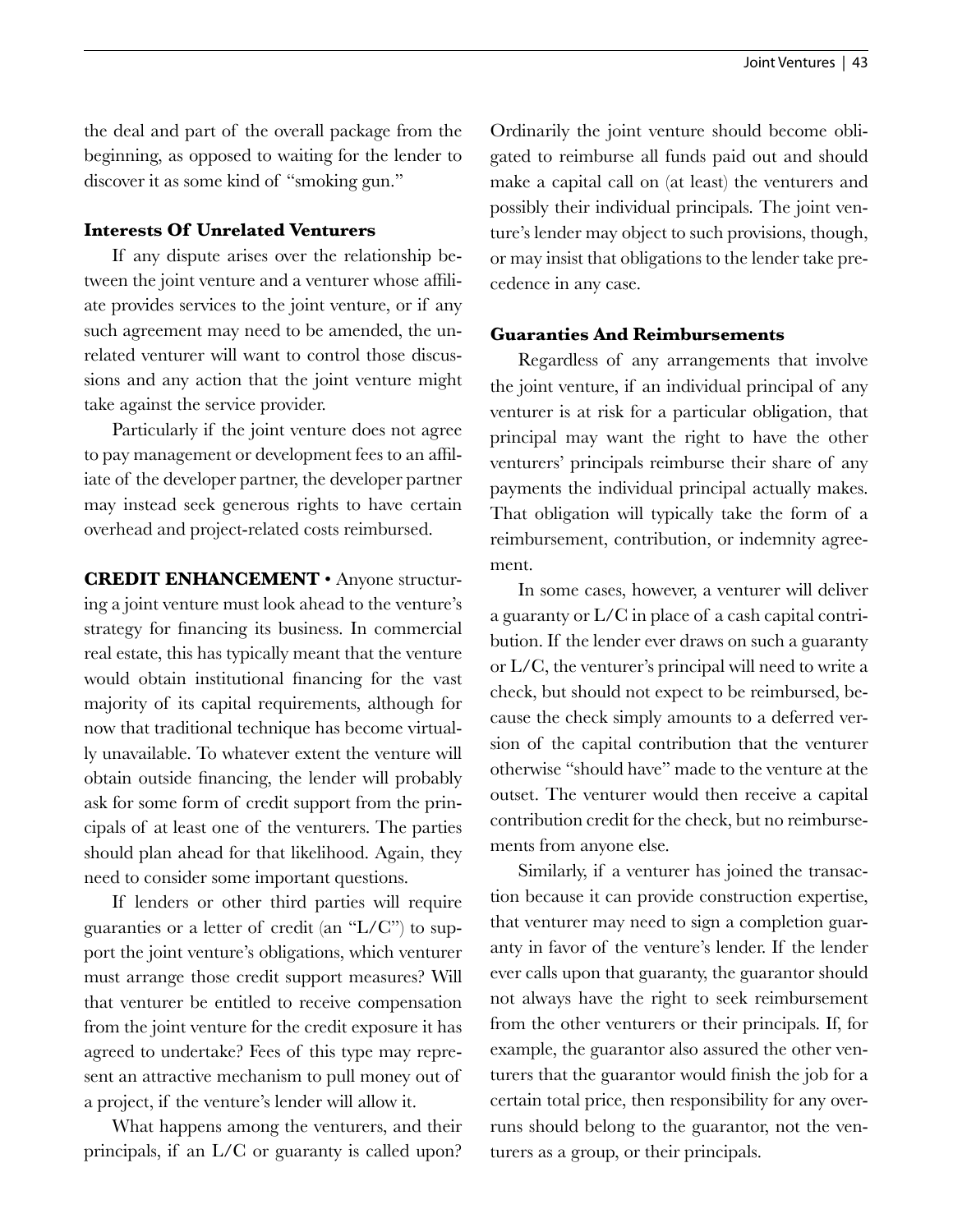the deal and part of the overall package from the beginning, as opposed to waiting for the lender to discover it as some kind of "smoking gun."

## **Interests Of Unrelated Venturers**

If any dispute arises over the relationship between the joint venture and a venturer whose affiliate provides services to the joint venture, or if any such agreement may need to be amended, the unrelated venturer will want to control those discussions and any action that the joint venture might take against the service provider.

Particularly if the joint venture does not agree to pay management or development fees to an affiliate of the developer partner, the developer partner may instead seek generous rights to have certain overhead and project-related costs reimbursed.

**CREDIT ENHANCEMENT** • Anyone structuring a joint venture must look ahead to the venture's strategy for financing its business. In commercial real estate, this has typically meant that the venture would obtain institutional financing for the vast majority of its capital requirements, although for now that traditional technique has become virtually unavailable. To whatever extent the venture will obtain outside financing, the lender will probably ask for some form of credit support from the principals of at least one of the venturers. The parties should plan ahead for that likelihood. Again, they need to consider some important questions.

If lenders or other third parties will require guaranties or a letter of credit (an "L/C") to support the joint venture's obligations, which venturer must arrange those credit support measures? Will that venturer be entitled to receive compensation from the joint venture for the credit exposure it has agreed to undertake? Fees of this type may represent an attractive mechanism to pull money out of a project, if the venture's lender will allow it.

What happens among the venturers, and their principals, if an L/C or guaranty is called upon? Ordinarily the joint venture should become obligated to reimburse all funds paid out and should make a capital call on (at least) the venturers and possibly their individual principals. The joint venture's lender may object to such provisions, though, or may insist that obligations to the lender take precedence in any case.

# **Guaranties And Reimbursements**

Regardless of any arrangements that involve the joint venture, if an individual principal of any venturer is at risk for a particular obligation, that principal may want the right to have the other venturers' principals reimburse their share of any payments the individual principal actually makes. That obligation will typically take the form of a reimbursement, contribution, or indemnity agreement.

In some cases, however, a venturer will deliver a guaranty or L/C in place of a cash capital contribution. If the lender ever draws on such a guaranty or L/C, the venturer's principal will need to write a check, but should not expect to be reimbursed, because the check simply amounts to a deferred version of the capital contribution that the venturer otherwise "should have" made to the venture at the outset. The venturer would then receive a capital contribution credit for the check, but no reimbursements from anyone else.

Similarly, if a venturer has joined the transaction because it can provide construction expertise, that venturer may need to sign a completion guaranty in favor of the venture's lender. If the lender ever calls upon that guaranty, the guarantor should not always have the right to seek reimbursement from the other venturers or their principals. If, for example, the guarantor also assured the other venturers that the guarantor would finish the job for a certain total price, then responsibility for any overruns should belong to the guarantor, not the venturers as a group, or their principals.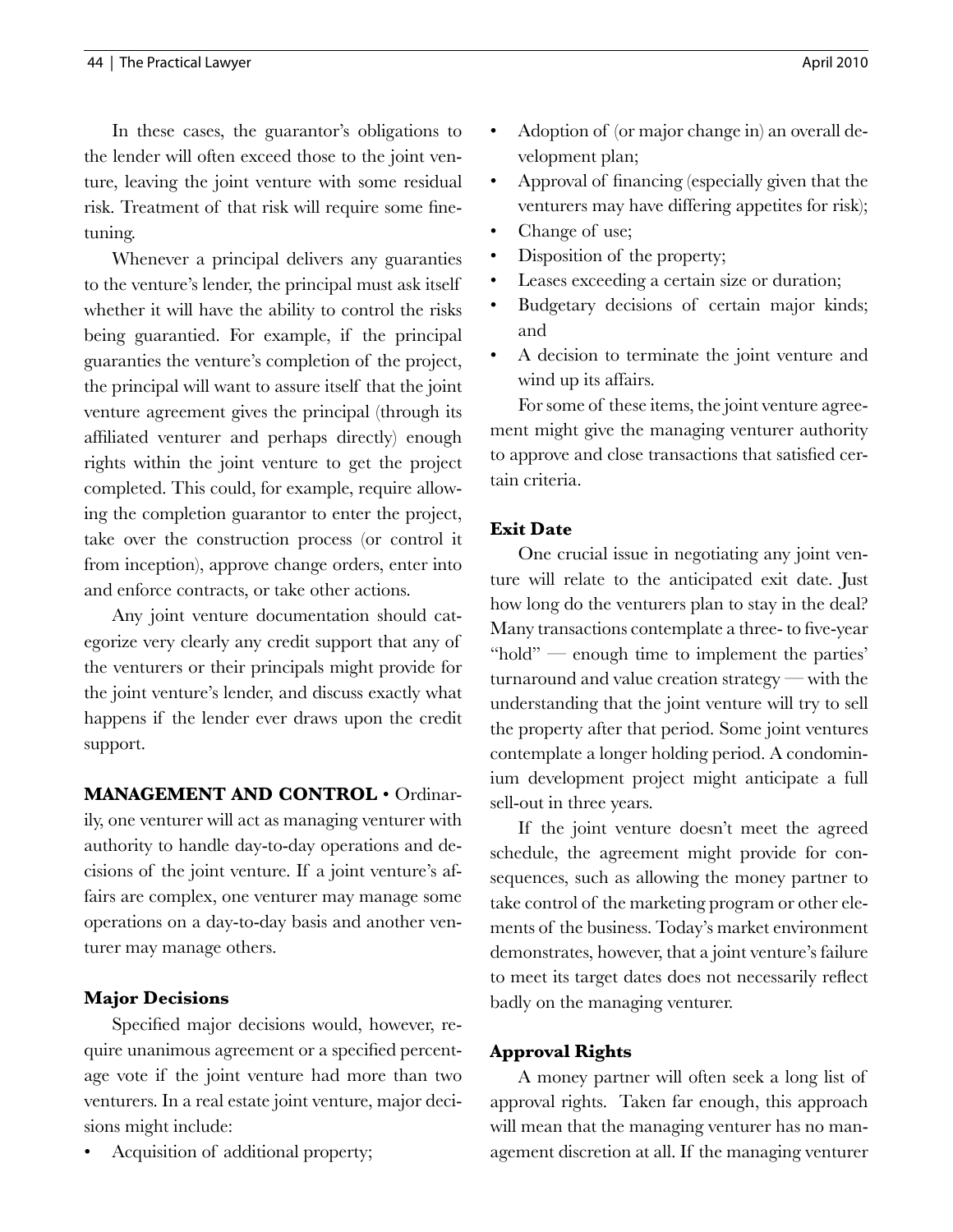In these cases, the guarantor's obligations to the lender will often exceed those to the joint venture, leaving the joint venture with some residual risk. Treatment of that risk will require some finetuning.

Whenever a principal delivers any guaranties to the venture's lender, the principal must ask itself whether it will have the ability to control the risks being guarantied. For example, if the principal guaranties the venture's completion of the project, the principal will want to assure itself that the joint venture agreement gives the principal (through its affiliated venturer and perhaps directly) enough rights within the joint venture to get the project completed. This could, for example, require allowing the completion guarantor to enter the project, take over the construction process (or control it from inception), approve change orders, enter into and enforce contracts, or take other actions.

Any joint venture documentation should categorize very clearly any credit support that any of the venturers or their principals might provide for the joint venture's lender, and discuss exactly what happens if the lender ever draws upon the credit support.

**MANAGEMENT AND CONTROL** • Ordinarily, one venturer will act as managing venturer with authority to handle day-to-day operations and decisions of the joint venture. If a joint venture's affairs are complex, one venturer may manage some operations on a day-to-day basis and another venturer may manage others.

# **Major Decisions**

Specified major decisions would, however, require unanimous agreement or a specified percentage vote if the joint venture had more than two venturers. In a real estate joint venture, major decisions might include:

• Acquisition of additional property;

- Adoption of (or major change in) an overall development plan;
- Approval of financing (especially given that the venturers may have differing appetites for risk);
- Change of use;
- Disposition of the property;
- Leases exceeding a certain size or duration;
- Budgetary decisions of certain major kinds; and
- A decision to terminate the joint venture and wind up its affairs.

For some of these items, the joint venture agreement might give the managing venturer authority to approve and close transactions that satisfied certain criteria.

# **Exit Date**

One crucial issue in negotiating any joint venture will relate to the anticipated exit date. Just how long do the venturers plan to stay in the deal? Many transactions contemplate a three- to five-year "hold" — enough time to implement the parties' turnaround and value creation strategy — with the understanding that the joint venture will try to sell the property after that period. Some joint ventures contemplate a longer holding period. A condominium development project might anticipate a full sell-out in three years.

If the joint venture doesn't meet the agreed schedule, the agreement might provide for consequences, such as allowing the money partner to take control of the marketing program or other elements of the business. Today's market environment demonstrates, however, that a joint venture's failure to meet its target dates does not necessarily reflect badly on the managing venturer.

# **Approval Rights**

A money partner will often seek a long list of approval rights. Taken far enough, this approach will mean that the managing venturer has no management discretion at all. If the managing venturer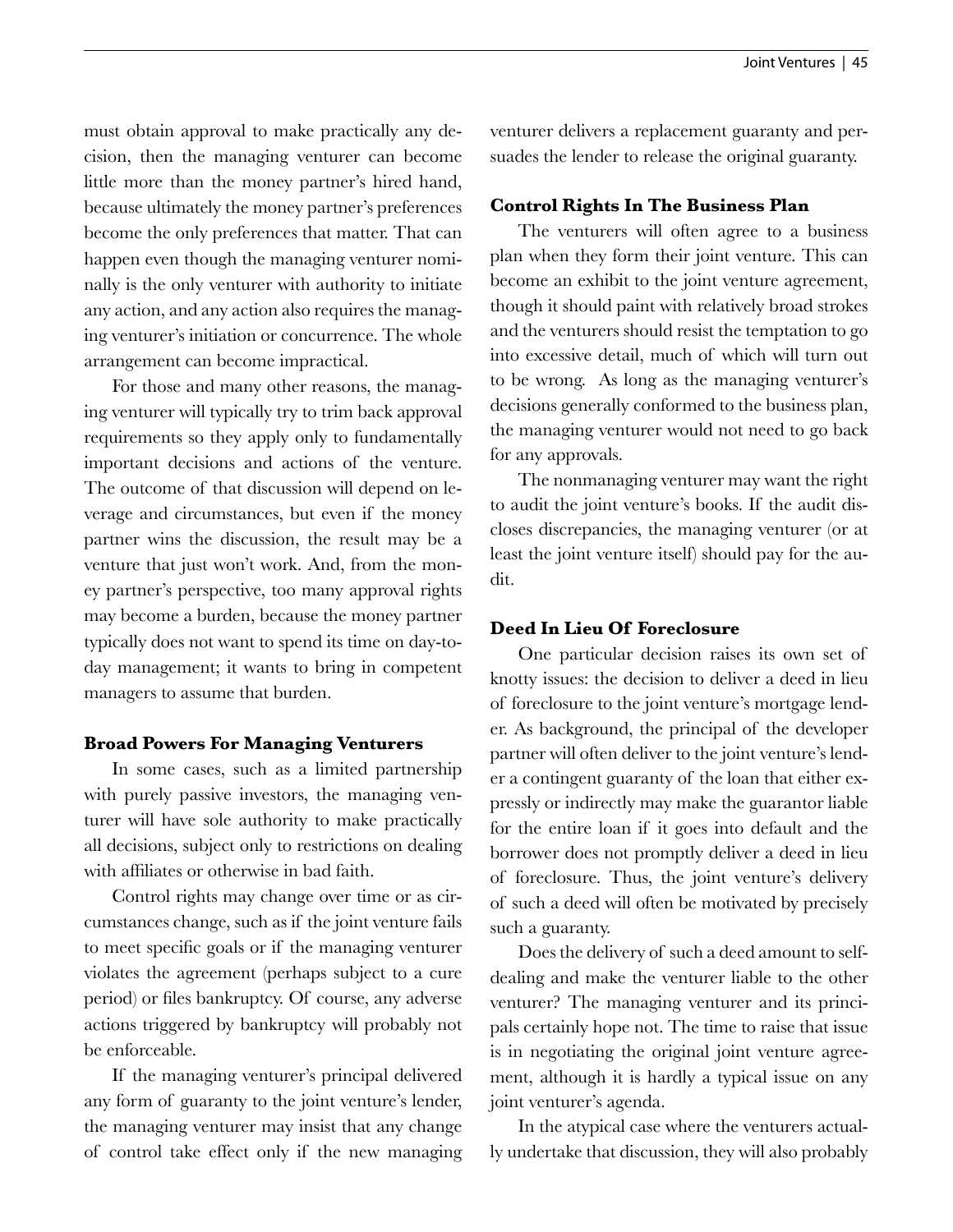must obtain approval to make practically any decision, then the managing venturer can become little more than the money partner's hired hand, because ultimately the money partner's preferences become the only preferences that matter. That can happen even though the managing venturer nominally is the only venturer with authority to initiate any action, and any action also requires the managing venturer's initiation or concurrence. The whole arrangement can become impractical.

For those and many other reasons, the managing venturer will typically try to trim back approval requirements so they apply only to fundamentally important decisions and actions of the venture. The outcome of that discussion will depend on leverage and circumstances, but even if the money partner wins the discussion, the result may be a venture that just won't work. And, from the money partner's perspective, too many approval rights may become a burden, because the money partner typically does not want to spend its time on day-today management; it wants to bring in competent managers to assume that burden.

#### **Broad Powers For Managing Venturers**

In some cases, such as a limited partnership with purely passive investors, the managing venturer will have sole authority to make practically all decisions, subject only to restrictions on dealing with affiliates or otherwise in bad faith.

Control rights may change over time or as circumstances change, such as if the joint venture fails to meet specific goals or if the managing venturer violates the agreement (perhaps subject to a cure period) or files bankruptcy. Of course, any adverse actions triggered by bankruptcy will probably not be enforceable.

If the managing venturer's principal delivered any form of guaranty to the joint venture's lender, the managing venturer may insist that any change of control take effect only if the new managing venturer delivers a replacement guaranty and persuades the lender to release the original guaranty.

## **Control Rights In The Business Plan**

The venturers will often agree to a business plan when they form their joint venture. This can become an exhibit to the joint venture agreement, though it should paint with relatively broad strokes and the venturers should resist the temptation to go into excessive detail, much of which will turn out to be wrong. As long as the managing venturer's decisions generally conformed to the business plan, the managing venturer would not need to go back for any approvals.

The nonmanaging venturer may want the right to audit the joint venture's books. If the audit discloses discrepancies, the managing venturer (or at least the joint venture itself) should pay for the audit.

## **Deed In Lieu Of Foreclosure**

One particular decision raises its own set of knotty issues: the decision to deliver a deed in lieu of foreclosure to the joint venture's mortgage lender. As background, the principal of the developer partner will often deliver to the joint venture's lender a contingent guaranty of the loan that either expressly or indirectly may make the guarantor liable for the entire loan if it goes into default and the borrower does not promptly deliver a deed in lieu of foreclosure. Thus, the joint venture's delivery of such a deed will often be motivated by precisely such a guaranty.

Does the delivery of such a deed amount to selfdealing and make the venturer liable to the other venturer? The managing venturer and its principals certainly hope not. The time to raise that issue is in negotiating the original joint venture agreement, although it is hardly a typical issue on any joint venturer's agenda.

In the atypical case where the venturers actually undertake that discussion, they will also probably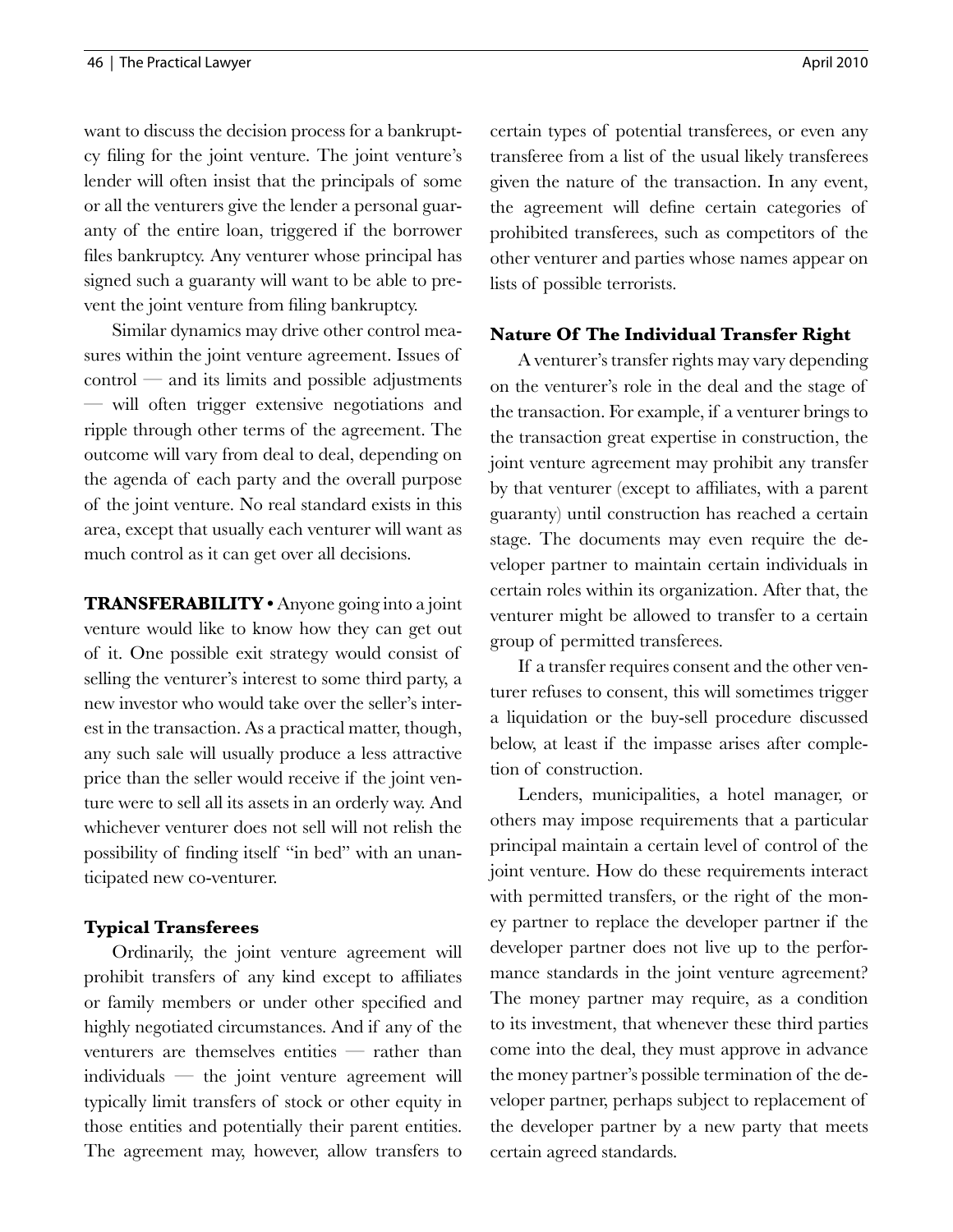want to discuss the decision process for a bankruptcy filing for the joint venture. The joint venture's lender will often insist that the principals of some or all the venturers give the lender a personal guaranty of the entire loan, triggered if the borrower files bankruptcy. Any venturer whose principal has signed such a guaranty will want to be able to prevent the joint venture from filing bankruptcy.

Similar dynamics may drive other control measures within the joint venture agreement. Issues of  $control$  — and its limits and possible adjustments — will often trigger extensive negotiations and ripple through other terms of the agreement. The outcome will vary from deal to deal, depending on the agenda of each party and the overall purpose of the joint venture. No real standard exists in this area, except that usually each venturer will want as much control as it can get over all decisions.

**TRANSFERABILITY •** Anyone going into a joint venture would like to know how they can get out of it. One possible exit strategy would consist of selling the venturer's interest to some third party, a new investor who would take over the seller's interest in the transaction. As a practical matter, though, any such sale will usually produce a less attractive price than the seller would receive if the joint venture were to sell all its assets in an orderly way. And whichever venturer does not sell will not relish the possibility of finding itself "in bed" with an unanticipated new co-venturer.

## **Typical Transferees**

Ordinarily, the joint venture agreement will prohibit transfers of any kind except to affiliates or family members or under other specified and highly negotiated circumstances. And if any of the venturers are themselves entities — rather than individuals — the joint venture agreement will typically limit transfers of stock or other equity in those entities and potentially their parent entities. The agreement may, however, allow transfers to certain types of potential transferees, or even any transferee from a list of the usual likely transferees given the nature of the transaction. In any event, the agreement will define certain categories of prohibited transferees, such as competitors of the other venturer and parties whose names appear on lists of possible terrorists.

## **Nature Of The Individual Transfer Right**

A venturer's transfer rights may vary depending on the venturer's role in the deal and the stage of the transaction. For example, if a venturer brings to the transaction great expertise in construction, the joint venture agreement may prohibit any transfer by that venturer (except to affiliates, with a parent guaranty) until construction has reached a certain stage. The documents may even require the developer partner to maintain certain individuals in certain roles within its organization. After that, the venturer might be allowed to transfer to a certain group of permitted transferees.

If a transfer requires consent and the other venturer refuses to consent, this will sometimes trigger a liquidation or the buy-sell procedure discussed below, at least if the impasse arises after completion of construction.

Lenders, municipalities, a hotel manager, or others may impose requirements that a particular principal maintain a certain level of control of the joint venture. How do these requirements interact with permitted transfers, or the right of the money partner to replace the developer partner if the developer partner does not live up to the performance standards in the joint venture agreement? The money partner may require, as a condition to its investment, that whenever these third parties come into the deal, they must approve in advance the money partner's possible termination of the developer partner, perhaps subject to replacement of the developer partner by a new party that meets certain agreed standards.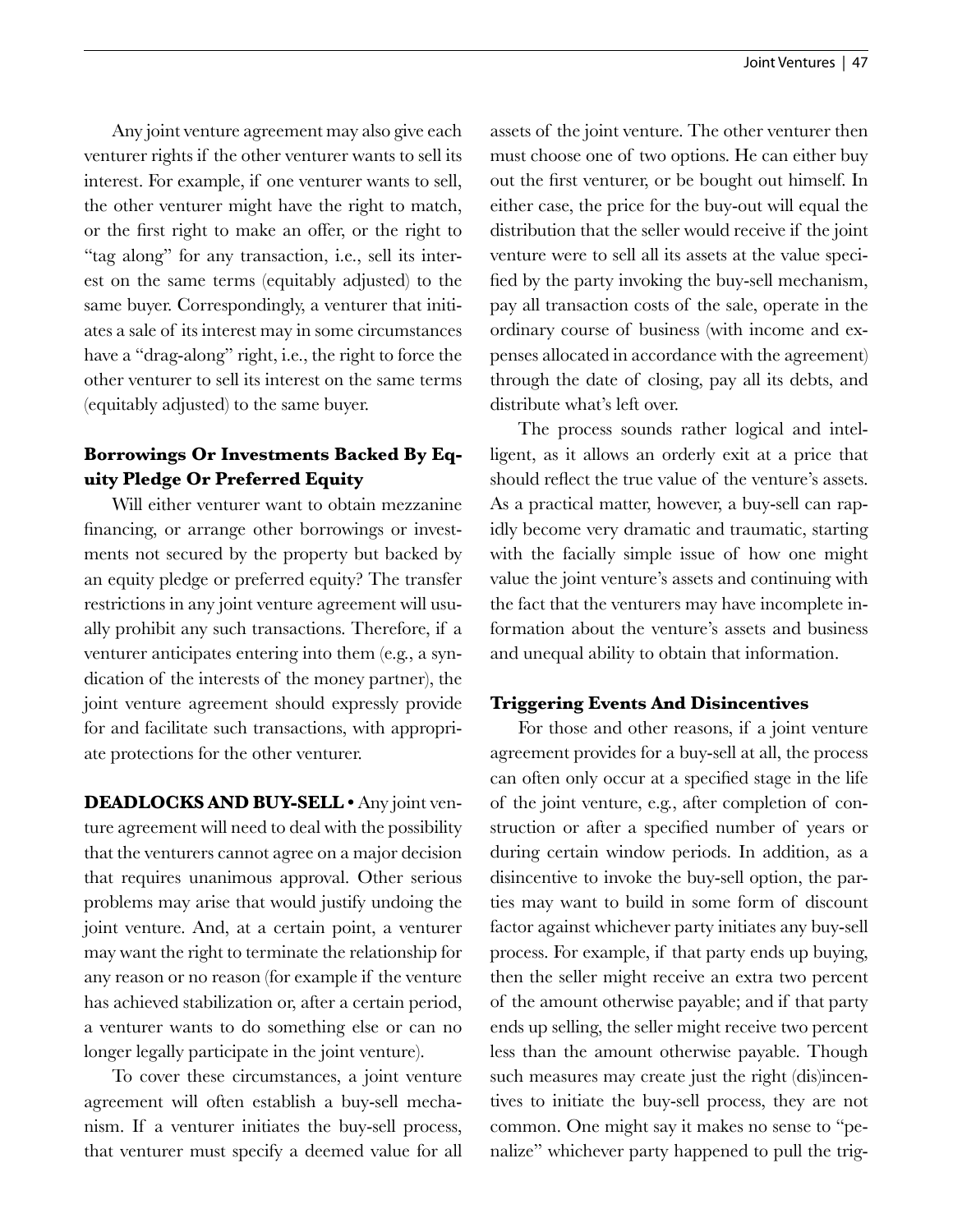Any joint venture agreement may also give each venturer rights if the other venturer wants to sell its interest. For example, if one venturer wants to sell, the other venturer might have the right to match, or the first right to make an offer, or the right to "tag along" for any transaction, i.e., sell its interest on the same terms (equitably adjusted) to the same buyer. Correspondingly, a venturer that initiates a sale of its interest may in some circumstances have a "drag-along" right, i.e., the right to force the other venturer to sell its interest on the same terms (equitably adjusted) to the same buyer.

# **Borrowings Or Investments Backed By Equity Pledge Or Preferred Equity**

Will either venturer want to obtain mezzanine financing, or arrange other borrowings or investments not secured by the property but backed by an equity pledge or preferred equity? The transfer restrictions in any joint venture agreement will usually prohibit any such transactions. Therefore, if a venturer anticipates entering into them (e.g., a syndication of the interests of the money partner), the joint venture agreement should expressly provide for and facilitate such transactions, with appropriate protections for the other venturer.

**DEADLOCKS AND BUY-SELL •** Any joint venture agreement will need to deal with the possibility that the venturers cannot agree on a major decision that requires unanimous approval. Other serious problems may arise that would justify undoing the joint venture. And, at a certain point, a venturer may want the right to terminate the relationship for any reason or no reason (for example if the venture has achieved stabilization or, after a certain period, a venturer wants to do something else or can no longer legally participate in the joint venture).

To cover these circumstances, a joint venture agreement will often establish a buy-sell mechanism. If a venturer initiates the buy-sell process, that venturer must specify a deemed value for all assets of the joint venture. The other venturer then must choose one of two options. He can either buy out the first venturer, or be bought out himself. In either case, the price for the buy-out will equal the distribution that the seller would receive if the joint venture were to sell all its assets at the value specified by the party invoking the buy-sell mechanism, pay all transaction costs of the sale, operate in the ordinary course of business (with income and expenses allocated in accordance with the agreement) through the date of closing, pay all its debts, and distribute what's left over.

The process sounds rather logical and intelligent, as it allows an orderly exit at a price that should reflect the true value of the venture's assets. As a practical matter, however, a buy-sell can rapidly become very dramatic and traumatic, starting with the facially simple issue of how one might value the joint venture's assets and continuing with the fact that the venturers may have incomplete information about the venture's assets and business and unequal ability to obtain that information.

# **Triggering Events And Disincentives**

For those and other reasons, if a joint venture agreement provides for a buy-sell at all, the process can often only occur at a specified stage in the life of the joint venture, e.g., after completion of construction or after a specified number of years or during certain window periods. In addition, as a disincentive to invoke the buy-sell option, the parties may want to build in some form of discount factor against whichever party initiates any buy-sell process. For example, if that party ends up buying, then the seller might receive an extra two percent of the amount otherwise payable; and if that party ends up selling, the seller might receive two percent less than the amount otherwise payable. Though such measures may create just the right (dis)incentives to initiate the buy-sell process, they are not common. One might say it makes no sense to "penalize" whichever party happened to pull the trig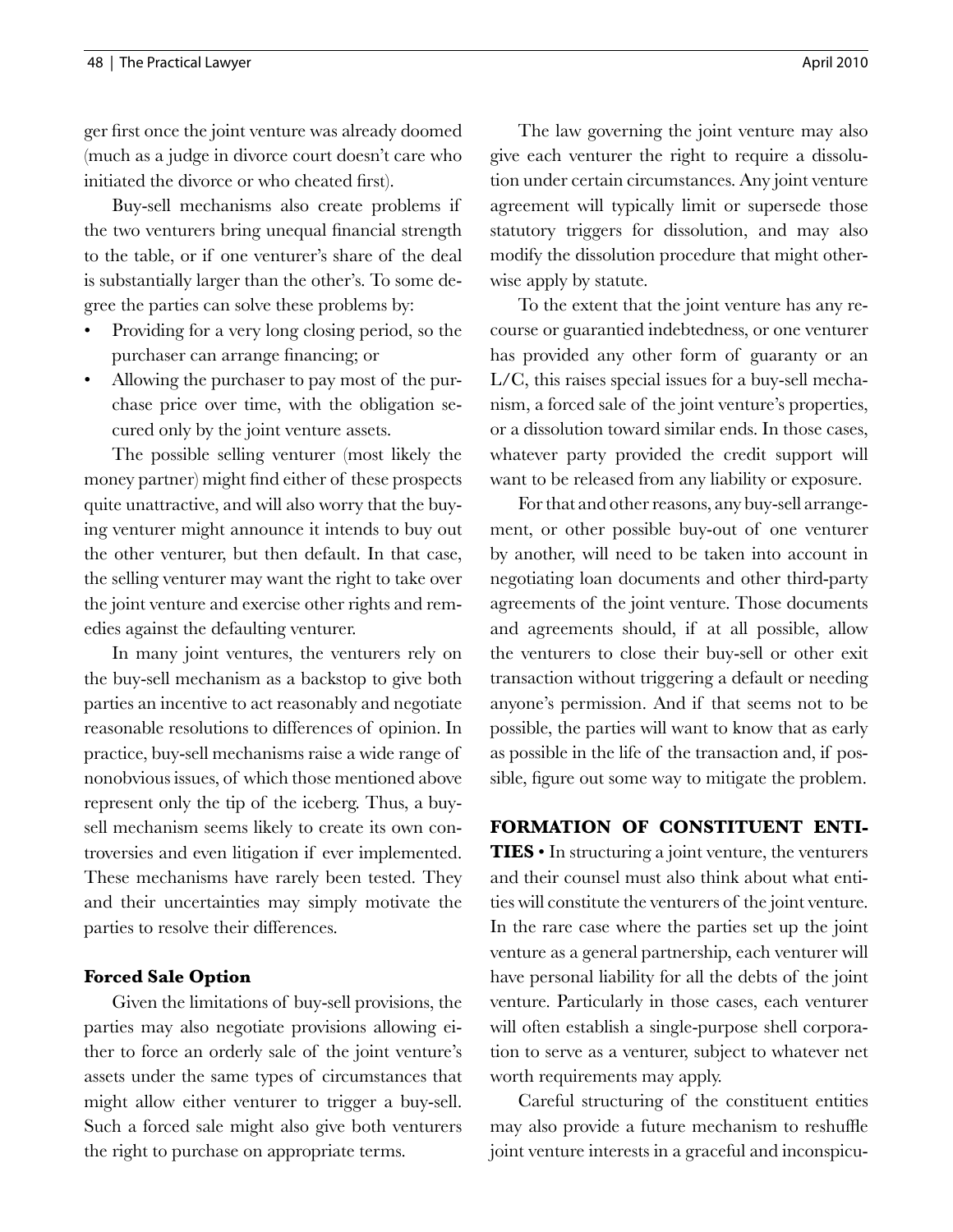ger first once the joint venture was already doomed (much as a judge in divorce court doesn't care who initiated the divorce or who cheated first).

Buy-sell mechanisms also create problems if the two venturers bring unequal financial strength to the table, or if one venturer's share of the deal is substantially larger than the other's. To some degree the parties can solve these problems by:

- Providing for a very long closing period, so the purchaser can arrange financing; or
- Allowing the purchaser to pay most of the purchase price over time, with the obligation secured only by the joint venture assets.

The possible selling venturer (most likely the money partner) might find either of these prospects quite unattractive, and will also worry that the buying venturer might announce it intends to buy out the other venturer, but then default. In that case, the selling venturer may want the right to take over the joint venture and exercise other rights and remedies against the defaulting venturer.

In many joint ventures, the venturers rely on the buy-sell mechanism as a backstop to give both parties an incentive to act reasonably and negotiate reasonable resolutions to differences of opinion. In practice, buy-sell mechanisms raise a wide range of nonobvious issues, of which those mentioned above represent only the tip of the iceberg. Thus, a buysell mechanism seems likely to create its own controversies and even litigation if ever implemented. These mechanisms have rarely been tested. They and their uncertainties may simply motivate the parties to resolve their differences.

## **Forced Sale Option**

Given the limitations of buy-sell provisions, the parties may also negotiate provisions allowing either to force an orderly sale of the joint venture's assets under the same types of circumstances that might allow either venturer to trigger a buy-sell. Such a forced sale might also give both venturers the right to purchase on appropriate terms.

The law governing the joint venture may also give each venturer the right to require a dissolution under certain circumstances. Any joint venture agreement will typically limit or supersede those statutory triggers for dissolution, and may also modify the dissolution procedure that might otherwise apply by statute.

To the extent that the joint venture has any recourse or guarantied indebtedness, or one venturer has provided any other form of guaranty or an L/C, this raises special issues for a buy-sell mechanism, a forced sale of the joint venture's properties, or a dissolution toward similar ends. In those cases, whatever party provided the credit support will want to be released from any liability or exposure.

For that and other reasons, any buy-sell arrangement, or other possible buy-out of one venturer by another, will need to be taken into account in negotiating loan documents and other third-party agreements of the joint venture. Those documents and agreements should, if at all possible, allow the venturers to close their buy-sell or other exit transaction without triggering a default or needing anyone's permission. And if that seems not to be possible, the parties will want to know that as early as possible in the life of the transaction and, if possible, figure out some way to mitigate the problem.

#### **FORMATION OF CONSTITUENT ENTI-**

**TIES** • In structuring a joint venture, the venturers and their counsel must also think about what entities will constitute the venturers of the joint venture. In the rare case where the parties set up the joint venture as a general partnership, each venturer will have personal liability for all the debts of the joint venture. Particularly in those cases, each venturer will often establish a single-purpose shell corporation to serve as a venturer, subject to whatever net worth requirements may apply.

Careful structuring of the constituent entities may also provide a future mechanism to reshuffle joint venture interests in a graceful and inconspicu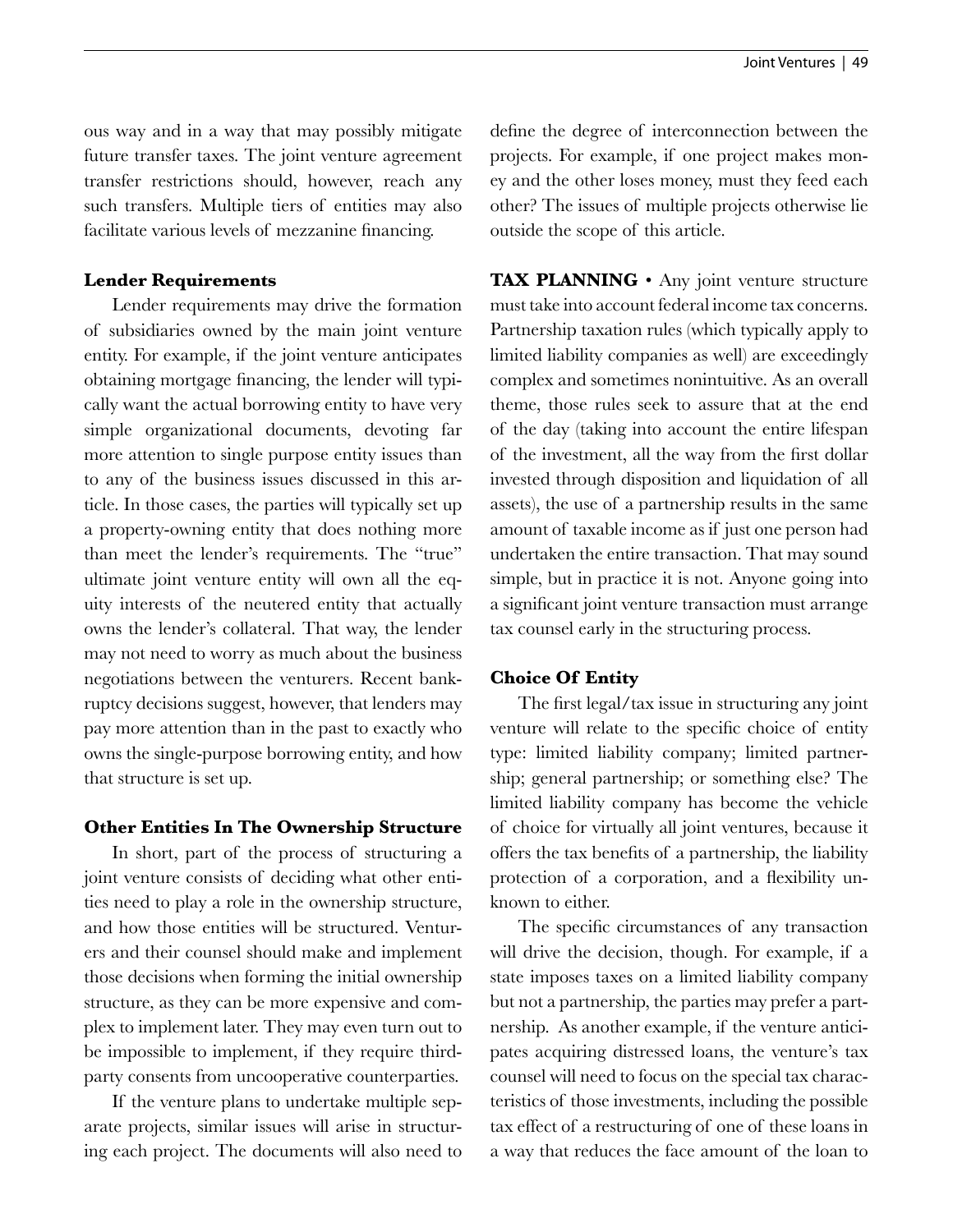ous way and in a way that may possibly mitigate future transfer taxes. The joint venture agreement transfer restrictions should, however, reach any such transfers. Multiple tiers of entities may also facilitate various levels of mezzanine financing.

#### **Lender Requirements**

Lender requirements may drive the formation of subsidiaries owned by the main joint venture entity. For example, if the joint venture anticipates obtaining mortgage financing, the lender will typically want the actual borrowing entity to have very simple organizational documents, devoting far more attention to single purpose entity issues than to any of the business issues discussed in this article. In those cases, the parties will typically set up a property-owning entity that does nothing more than meet the lender's requirements. The "true" ultimate joint venture entity will own all the equity interests of the neutered entity that actually owns the lender's collateral. That way, the lender may not need to worry as much about the business negotiations between the venturers. Recent bankruptcy decisions suggest, however, that lenders may pay more attention than in the past to exactly who owns the single-purpose borrowing entity, and how that structure is set up.

#### **Other Entities In The Ownership Structure**

In short, part of the process of structuring a joint venture consists of deciding what other entities need to play a role in the ownership structure, and how those entities will be structured. Venturers and their counsel should make and implement those decisions when forming the initial ownership structure, as they can be more expensive and complex to implement later. They may even turn out to be impossible to implement, if they require thirdparty consents from uncooperative counterparties.

If the venture plans to undertake multiple separate projects, similar issues will arise in structuring each project. The documents will also need to define the degree of interconnection between the projects. For example, if one project makes money and the other loses money, must they feed each other? The issues of multiple projects otherwise lie outside the scope of this article.

**TAX PLANNING** • Any joint venture structure must take into account federal income tax concerns. Partnership taxation rules (which typically apply to limited liability companies as well) are exceedingly complex and sometimes nonintuitive. As an overall theme, those rules seek to assure that at the end of the day (taking into account the entire lifespan of the investment, all the way from the first dollar invested through disposition and liquidation of all assets), the use of a partnership results in the same amount of taxable income as if just one person had undertaken the entire transaction. That may sound simple, but in practice it is not. Anyone going into a significant joint venture transaction must arrange tax counsel early in the structuring process.

#### **Choice Of Entity**

The first legal/tax issue in structuring any joint venture will relate to the specific choice of entity type: limited liability company; limited partnership; general partnership; or something else? The limited liability company has become the vehicle of choice for virtually all joint ventures, because it offers the tax benefits of a partnership, the liability protection of a corporation, and a flexibility unknown to either.

The specific circumstances of any transaction will drive the decision, though. For example, if a state imposes taxes on a limited liability company but not a partnership, the parties may prefer a partnership. As another example, if the venture anticipates acquiring distressed loans, the venture's tax counsel will need to focus on the special tax characteristics of those investments, including the possible tax effect of a restructuring of one of these loans in a way that reduces the face amount of the loan to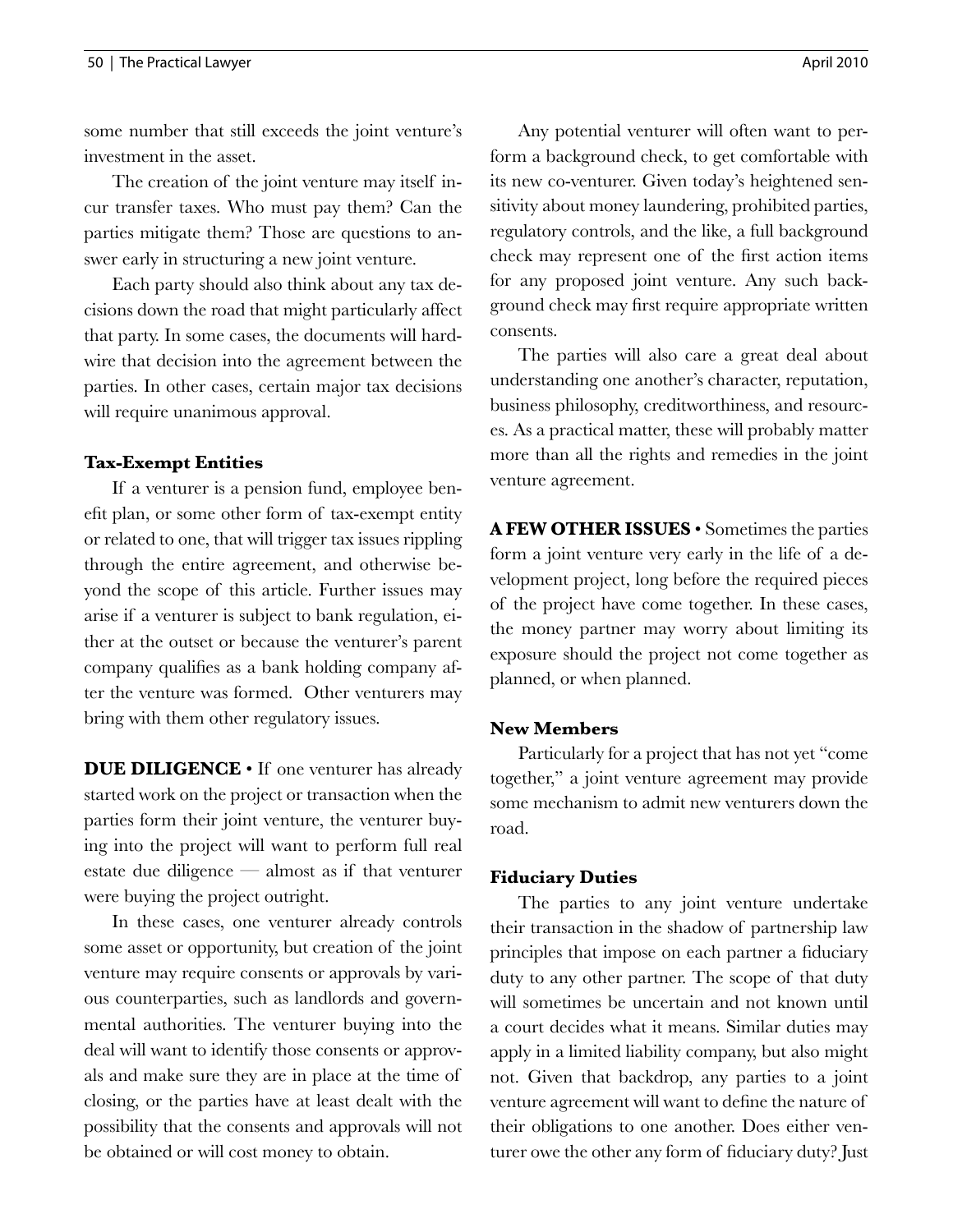some number that still exceeds the joint venture's investment in the asset.

The creation of the joint venture may itself incur transfer taxes. Who must pay them? Can the parties mitigate them? Those are questions to answer early in structuring a new joint venture.

Each party should also think about any tax decisions down the road that might particularly affect that party. In some cases, the documents will hardwire that decision into the agreement between the parties. In other cases, certain major tax decisions will require unanimous approval.

## **Tax-Exempt Entities**

If a venturer is a pension fund, employee benefit plan, or some other form of tax-exempt entity or related to one, that will trigger tax issues rippling through the entire agreement, and otherwise beyond the scope of this article. Further issues may arise if a venturer is subject to bank regulation, either at the outset or because the venturer's parent company qualifies as a bank holding company after the venture was formed. Other venturers may bring with them other regulatory issues.

**DUE DILIGENCE** • If one venturer has already started work on the project or transaction when the parties form their joint venture, the venturer buying into the project will want to perform full real estate due diligence — almost as if that venturer were buying the project outright.

In these cases, one venturer already controls some asset or opportunity, but creation of the joint venture may require consents or approvals by various counterparties, such as landlords and governmental authorities. The venturer buying into the deal will want to identify those consents or approvals and make sure they are in place at the time of closing, or the parties have at least dealt with the possibility that the consents and approvals will not be obtained or will cost money to obtain.

Any potential venturer will often want to perform a background check, to get comfortable with its new co-venturer. Given today's heightened sensitivity about money laundering, prohibited parties, regulatory controls, and the like, a full background check may represent one of the first action items for any proposed joint venture. Any such background check may first require appropriate written consents.

The parties will also care a great deal about understanding one another's character, reputation, business philosophy, creditworthiness, and resources. As a practical matter, these will probably matter more than all the rights and remedies in the joint venture agreement.

**A FEW OTHER ISSUES** • Sometimes the parties form a joint venture very early in the life of a development project, long before the required pieces of the project have come together. In these cases, the money partner may worry about limiting its exposure should the project not come together as planned, or when planned.

## **New Members**

Particularly for a project that has not yet "come together," a joint venture agreement may provide some mechanism to admit new venturers down the road.

## **Fiduciary Duties**

The parties to any joint venture undertake their transaction in the shadow of partnership law principles that impose on each partner a fiduciary duty to any other partner. The scope of that duty will sometimes be uncertain and not known until a court decides what it means. Similar duties may apply in a limited liability company, but also might not. Given that backdrop, any parties to a joint venture agreement will want to define the nature of their obligations to one another. Does either venturer owe the other any form of fiduciary duty? Just